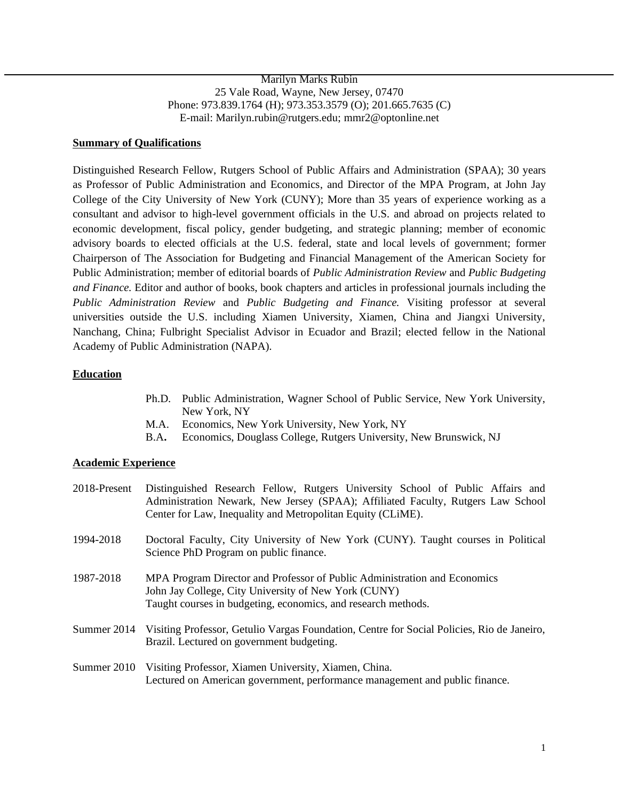Marilyn Marks Rubin 25 Vale Road, Wayne, New Jersey, 07470 Phone: 973.839.1764 (H); 973.353.3579 (O); 201.665.7635 (C) E-mail: Marilyn.rubin@rutgers.edu; mmr2@optonline.net

### **Summary of Qualifications**

Distinguished Research Fellow, Rutgers School of Public Affairs and Administration (SPAA); 30 years as Professor of Public Administration and Economics, and Director of the MPA Program, at John Jay College of the City University of New York (CUNY); More than 35 years of experience working as a consultant and advisor to high-level government officials in the U.S. and abroad on projects related to economic development, fiscal policy, gender budgeting, and strategic planning; member of economic advisory boards to elected officials at the U.S. federal, state and local levels of government; former Chairperson of The Association for Budgeting and Financial Management of the American Society for Public Administration; member of editorial boards of *Public Administration Review* and *Public Budgeting and Finance.* Editor and author of books, book chapters and articles in professional journals including the *Public Administration Review* and *Public Budgeting and Finance.* Visiting professor at several universities outside the U.S. including Xiamen University, Xiamen, China and Jiangxi University, Nanchang, China; Fulbright Specialist Advisor in Ecuador and Brazil; elected fellow in the National Academy of Public Administration (NAPA).

### **Education**

- Ph.D. Public Administration, Wagner School of Public Service, New York University, New York, NY
- M.A. Economics, New York University, New York, NY
- B.A**.** Economics, Douglass College, Rutgers University, New Brunswick, NJ

#### **Academic Experience**

| 2018-Present | Distinguished Research Fellow, Rutgers University School of Public Affairs and<br>Administration Newark, New Jersey (SPAA); Affiliated Faculty, Rutgers Law School<br>Center for Law, Inequality and Metropolitan Equity (CLiME). |
|--------------|-----------------------------------------------------------------------------------------------------------------------------------------------------------------------------------------------------------------------------------|
| 1994-2018    | Doctoral Faculty, City University of New York (CUNY). Taught courses in Political<br>Science PhD Program on public finance.                                                                                                       |
| 1987-2018    | MPA Program Director and Professor of Public Administration and Economics<br>John Jay College, City University of New York (CUNY)<br>Taught courses in budgeting, economics, and research methods.                                |
| Summer 2014  | Visiting Professor, Getulio Vargas Foundation, Centre for Social Policies, Rio de Janeiro,<br>Brazil. Lectured on government budgeting.                                                                                           |
| Summer 2010  | Visiting Professor, Xiamen University, Xiamen, China.<br>Lectured on American government, performance management and public finance.                                                                                              |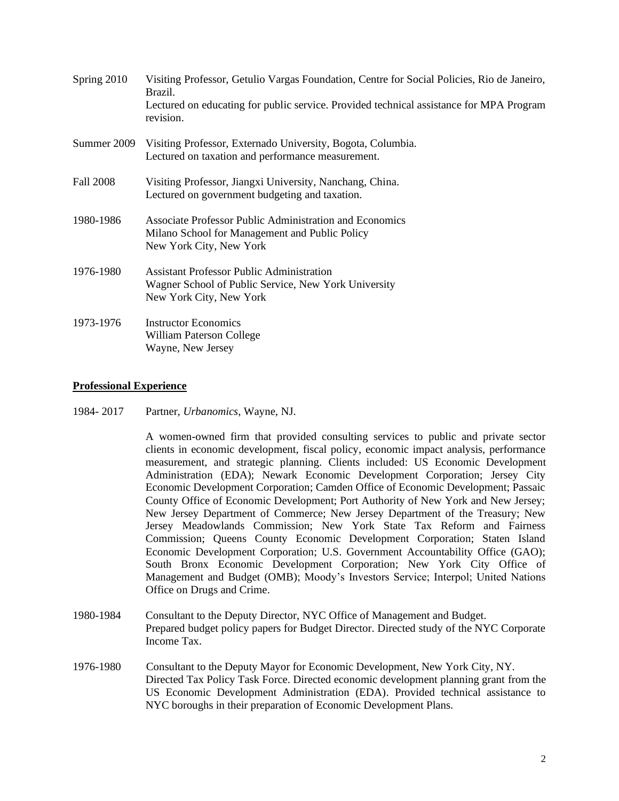| Spring 2010      | Visiting Professor, Getulio Vargas Foundation, Centre for Social Policies, Rio de Janeiro,<br>Brazil.<br>Lectured on educating for public service. Provided technical assistance for MPA Program<br>revision. |
|------------------|---------------------------------------------------------------------------------------------------------------------------------------------------------------------------------------------------------------|
| Summer 2009      | Visiting Professor, Externado University, Bogota, Columbia.<br>Lectured on taxation and performance measurement.                                                                                              |
| <b>Fall 2008</b> | Visiting Professor, Jiangxi University, Nanchang, China.<br>Lectured on government budgeting and taxation.                                                                                                    |
| 1980-1986        | Associate Professor Public Administration and Economics<br>Milano School for Management and Public Policy<br>New York City, New York                                                                          |
| 1976-1980        | <b>Assistant Professor Public Administration</b><br>Wagner School of Public Service, New York University<br>New York City, New York                                                                           |
| 1973-1976        | <b>Instructor Economics</b><br>William Paterson College<br>Wayne, New Jersey                                                                                                                                  |

## **Professional Experience**

1984- 2017 Partner, *Urbanomics*, Wayne, NJ.

A women-owned firm that provided consulting services to public and private sector clients in economic development, fiscal policy, economic impact analysis, performance measurement, and strategic planning. Clients included: US Economic Development Administration (EDA); Newark Economic Development Corporation; Jersey City Economic Development Corporation; Camden Office of Economic Development; Passaic County Office of Economic Development; Port Authority of New York and New Jersey; New Jersey Department of Commerce; New Jersey Department of the Treasury; New Jersey Meadowlands Commission; New York State Tax Reform and Fairness Commission; Queens County Economic Development Corporation; Staten Island Economic Development Corporation; U.S. Government Accountability Office (GAO); South Bronx Economic Development Corporation; New York City Office of Management and Budget (OMB); Moody's Investors Service; Interpol; United Nations Office on Drugs and Crime.

- 1980-1984 Consultant to the Deputy Director, NYC Office of Management and Budget. Prepared budget policy papers for Budget Director. Directed study of the NYC Corporate Income Tax.
- 1976-1980 Consultant to the Deputy Mayor for Economic Development, New York City, NY. Directed Tax Policy Task Force. Directed economic development planning grant from the US Economic Development Administration (EDA). Provided technical assistance to NYC boroughs in their preparation of Economic Development Plans.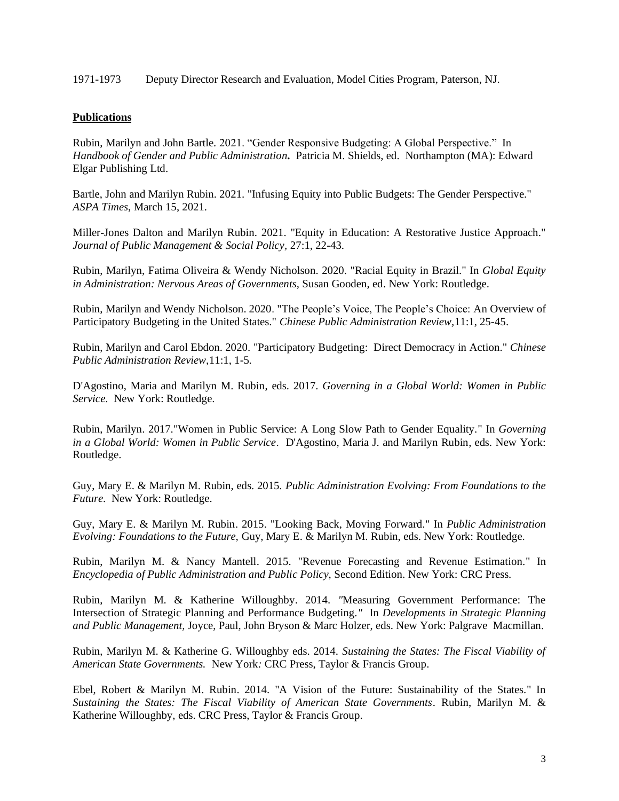### 1971-1973 Deputy Director Research and Evaluation, Model Cities Program, Paterson, NJ.

# **Publications**

Rubin, Marilyn and John Bartle. 2021. "Gender Responsive Budgeting: A Global Perspective." In *Handbook of Gender and Public Administration.* Patricia M. Shields, ed. Northampton (MA): Edward Elgar Publishing Ltd.

Bartle, John and Marilyn Rubin. 2021. "Infusing Equity into Public Budgets: The Gender Perspective." *ASPA Times*, March 15, 2021.

Miller-Jones Dalton and Marilyn Rubin. 2021. "Equity in Education: A Restorative Justice Approach." *Journal of Public Management & Social Policy,* 27:1, 22-43.

Rubin, Marilyn, Fatima Oliveira & Wendy Nicholson. 2020. "Racial Equity in Brazil." In *Global Equity in Administration: Nervous Areas of Governments,* Susan Gooden, ed. New York: Routledge.

Rubin, Marilyn and Wendy Nicholson. 2020. "The People's Voice, The People's Choice: An Overview of Participatory Budgeting in the United States." *Chinese Public Administration Review,*11:1, 25-45.

Rubin, Marilyn and Carol Ebdon. 2020. "Participatory Budgeting: Direct Democracy in Action." *Chinese Public Administration Review,*11:1, 1-5*.*

D'Agostino, Maria and Marilyn M. Rubin, eds. 2017. *Governing in a Global World: Women in Public Service*. New York: Routledge.

Rubin, Marilyn. 2017."Women in Public Service: A Long Slow Path to Gender Equality." In *Governing in a Global World: Women in Public Service*. D'Agostino, Maria J. and Marilyn Rubin, eds. New York: Routledge.

Guy, Mary E. & Marilyn M. Rubin, eds. 2015. *Public Administration Evolving: From Foundations to the Future*. New York: Routledge.

Guy, Mary E. & Marilyn M. Rubin. 2015. "Looking Back, Moving Forward." In *Public Administration Evolving: Foundations to the Future,* Guy, Mary E. & Marilyn M. Rubin, eds. New York: Routledge.

Rubin, Marilyn M. & Nancy Mantell. 2015. "Revenue Forecasting and Revenue Estimation." In *Encyclopedia of Public Administration and Public Policy*, Second Edition. New York: CRC Press.

Rubin, Marilyn M. & Katherine Willoughby. 2014. *"*Measuring Government Performance: The Intersection of Strategic Planning and Performance Budgeting*."* In *Developments in Strategic Planning and Public Management,* Joyce, Paul, John Bryson & Marc Holzer, eds. New York: Palgrave Macmillan.

Rubin, Marilyn M. & Katherine G. Willoughby eds. 2014. *Sustaining the States: The Fiscal Viability of American State Governments.* New York*:* CRC Press, Taylor & Francis Group.

Ebel, Robert & Marilyn M. Rubin. 2014. "A Vision of the Future: Sustainability of the States." In *Sustaining the States: The Fiscal Viability of American State Governments*. Rubin, Marilyn M. & Katherine Willoughby, eds. CRC Press, Taylor & Francis Group.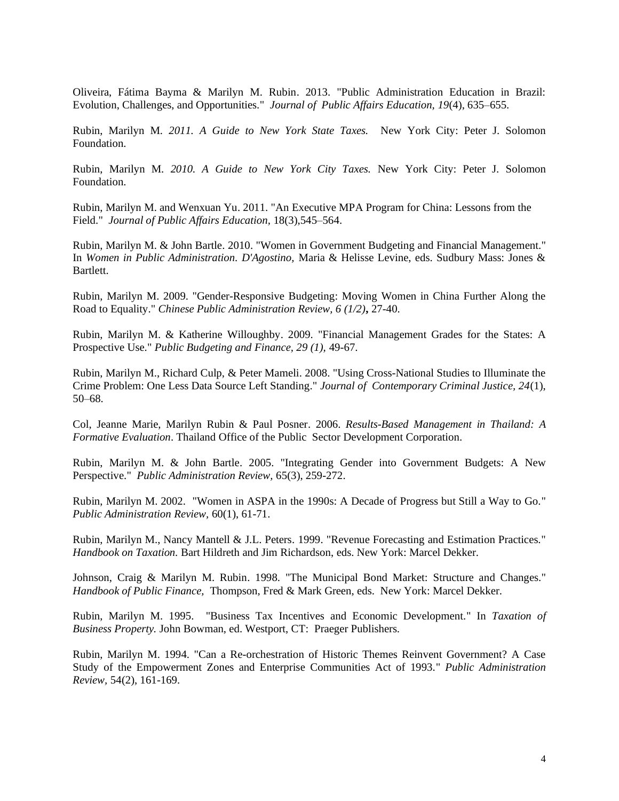Oliveira, Fátima Bayma & Marilyn M. Rubin. 2013. "Public Administration Education in Brazil: Evolution, Challenges, and Opportunities." *Journal of Public Affairs Education, 19*(4), 635–655.

Rubin, Marilyn M*. 2011. A Guide to New York State Taxes.* New York City: Peter J. Solomon Foundation.

Rubin, Marilyn M*. 2010. A Guide to New York City Taxes.* New York City: Peter J. Solomon Foundation.

Rubin, Marilyn M. and Wenxuan Yu. 2011. "An Executive MPA Program for China: Lessons from the Field." *Journal of Public Affairs Education,* 18(3),545–564.

Rubin, Marilyn M. & John Bartle. 2010. "Women in Government Budgeting and Financial Management." In *Women in Public Administration. D'Agostino,* Maria & Helisse Levine, eds. Sudbury Mass: Jones & Bartlett.

Rubin, Marilyn M. 2009. "Gender-Responsive Budgeting: Moving Women in China Further Along the Road to Equality." *Chinese Public Administration Review, 6 (1/2)***,** 27-40.

Rubin, Marilyn M. & Katherine Willoughby. 2009. "Financial Management Grades for the States: A Prospective Use." *Public Budgeting and Finance, 29 (1),* 49-67.

Rubin, Marilyn M., Richard Culp, & Peter Mameli. 2008. "Using Cross-National Studies to Illuminate the Crime Problem: One Less Data Source Left Standing." *Journal of Contemporary Criminal Justice, 24*(1), 50–68.

Col, Jeanne Marie, Marilyn Rubin & Paul Posner. 2006. *Results-Based Management in Thailand: A Formative Evaluation*. Thailand Office of the Public Sector Development Corporation.

Rubin, Marilyn M. & John Bartle. 2005. "Integrating Gender into Government Budgets: A New Perspective." *Public Administration Review,* 65(3), 259-272.

Rubin, Marilyn M. 2002. "Women in ASPA in the 1990s: A Decade of Progress but Still a Way to Go." *Public Administration Review,* 60(1), 61-71.

Rubin, Marilyn M., Nancy Mantell & J.L. Peters. 1999. "Revenue Forecasting and Estimation Practices." *Handbook on Taxation.* Bart Hildreth and Jim Richardson, eds. New York: Marcel Dekker.

Johnson, Craig & Marilyn M. Rubin. 1998. "The Municipal Bond Market: Structure and Changes." *Handbook of Public Finance,* Thompson, Fred & Mark Green, eds. New York: Marcel Dekker.

Rubin, Marilyn M. 1995. "Business Tax Incentives and Economic Development." In *Taxation of Business Property.* John Bowman, ed. Westport, CT: Praeger Publishers.

Rubin, Marilyn M. 1994. "Can a Re-orchestration of Historic Themes Reinvent Government? A Case Study of the Empowerment Zones and Enterprise Communities Act of 1993." *Public Administration Review,* 54(2), 161-169.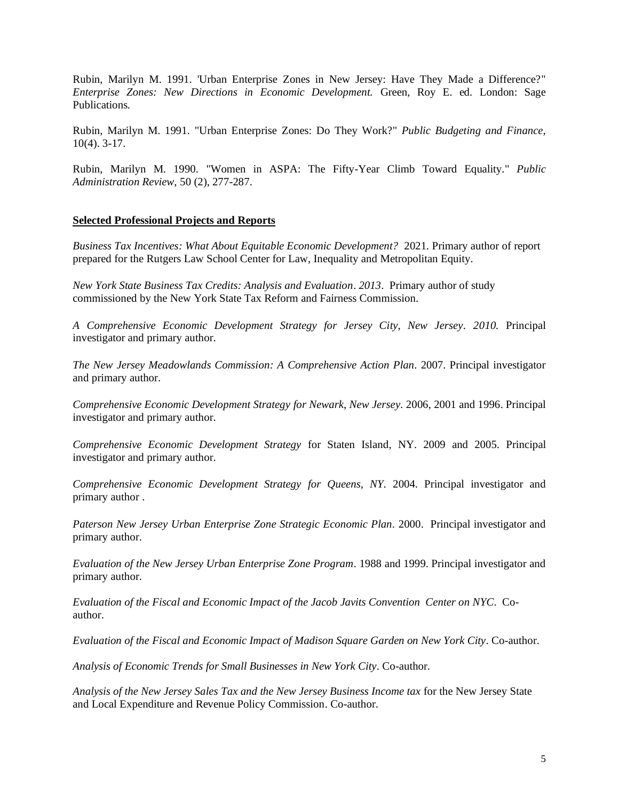Rubin, Marilyn M. 1991. 'Urban Enterprise Zones in New Jersey: Have They Made a Difference?" *Enterprise Zones: New Directions in Economic Development.* Green, Roy E. ed*.* London: Sage Publications*.*

Rubin, Marilyn M. 1991. "Urban Enterprise Zones: Do They Work?" *Public Budgeting and Finance,* 10(4). 3-17.

Rubin, Marilyn M. 1990. "Women in ASPA: The Fifty-Year Climb Toward Equality." *Public Administration Review,* 50 (2), 277-287.

### **Selected Professional Projects and Reports**

*Business Tax Incentives: What About Equitable Economic Development?* 2021*.* Primary author of report prepared for the Rutgers Law School Center for Law, Inequality and Metropolitan Equity.

*New York State Business Tax Credits: Analysis and Evaluation*. *2013*. Primary author of study commissioned by the New York State Tax Reform and Fairness Commission.

*A Comprehensive Economic Development Strategy for Jersey City, New Jersey. 2010.* Principal investigator and primary author.

*The New Jersey Meadowlands Commission: A Comprehensive Action Plan.* 2007. Principal investigator and primary author.

*Comprehensive Economic Development Strategy for Newark*, *New Jersey*. 2006, 2001 and 1996. Principal investigator and primary author.

*Comprehensive Economic Development Strategy* for Staten Island, NY. 2009 and 2005. Principal investigator and primary author.

*Comprehensive Economic Development Strategy for Queens, NY.* 2004. Principal investigator and primary author .

*Paterson New Jersey Urban Enterprise Zone Strategic Economic Plan.* 2000. Principal investigator and primary author.

*Evaluation of the New Jersey Urban Enterprise Zone Program.* 1988 and 1999. Principal investigator and primary author.

*Evaluation of the Fiscal and Economic Impact of the Jacob Javits Convention Center on NYC*. Coauthor.

*Evaluation of the Fiscal and Economic Impact of Madison Square Garden on New York City*. Co-author.

*Analysis of Economic Trends for Small Businesses in New York City*. Co-author.

*Analysis of the New Jersey Sales Tax and the New Jersey Business Income tax* for the New Jersey State and Local Expenditure and Revenue Policy Commission. Co-author.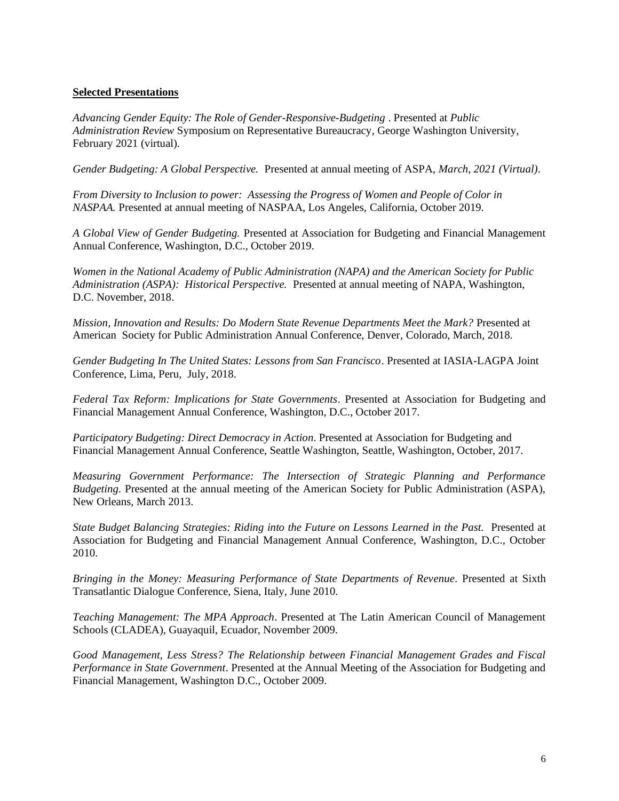# **Selected Presentations**

*Advancing Gender Equity: The Role of Gender-Responsive-Budgeting* . Presented at *Public Administration Review* Symposium on Representative Bureaucracy, George Washington University, February 2021 (virtual).

*Gender Budgeting: A Global Perspective.* Presented at annual meeting of ASPA, *March, 2021 (Virtual)*.

*From Diversity to Inclusion to power: Assessing the Progress of Women and People of Color in NASPAA.* Presented at annual meeting of NASPAA, Los Angeles, California, October 2019.

*A Global View of Gender Budgeting.* Presented at Association for Budgeting and Financial Management Annual Conference, Washington, D.C., October 2019.

*Women in the National Academy of Public Administration (NAPA) and the American Society for Public Administration (ASPA): Historical Perspective.* Presented at annual meeting of NAPA, Washington, D.C. November, 2018.

*Mission, Innovation and Results: Do Modern State Revenue Departments Meet the Mark?* Presented at American Society for Public Administration Annual Conference, Denver, Colorado, March, 2018.

*Gender Budgeting In The United States: Lessons from San Francisco*. Presented at IASIA-LAGPA Joint Conference, Lima, Peru, July, 2018.

*Federal Tax Reform: Implications for State Governments*. Presented at Association for Budgeting and Financial Management Annual Conference, Washington, D.C., October 2017.

*Participatory Budgeting: Direct Democracy in Action*. Presented at Association for Budgeting and Financial Management Annual Conference, Seattle Washington, Seattle, Washington, October, 2017.

*Measuring Government Performance: The Intersection of Strategic Planning and Performance Budgeting.* Presented at the annual meeting of the American Society for Public Administration (ASPA), New Orleans, March 2013.

*State Budget Balancing Strategies: Riding into the Future on Lessons Learned in the Past.* Presented at Association for Budgeting and Financial Management Annual Conference, Washington, D.C., October 2010.

*Bringing in the Money: Measuring Performance of State Departments of Revenue*. Presented at Sixth Transatlantic Dialogue Conference, Siena, Italy, June 2010.

*Teaching Management: The MPA Approach*. Presented at The Latin American Council of Management Schools (CLADEA), Guayaquil, Ecuador, November 2009.

*Good Management, Less Stress? The Relationship between Financial Management Grades and Fiscal Performance in State Government*. Presented at the Annual Meeting of the Association for Budgeting and Financial Management, Washington D.C., October 2009.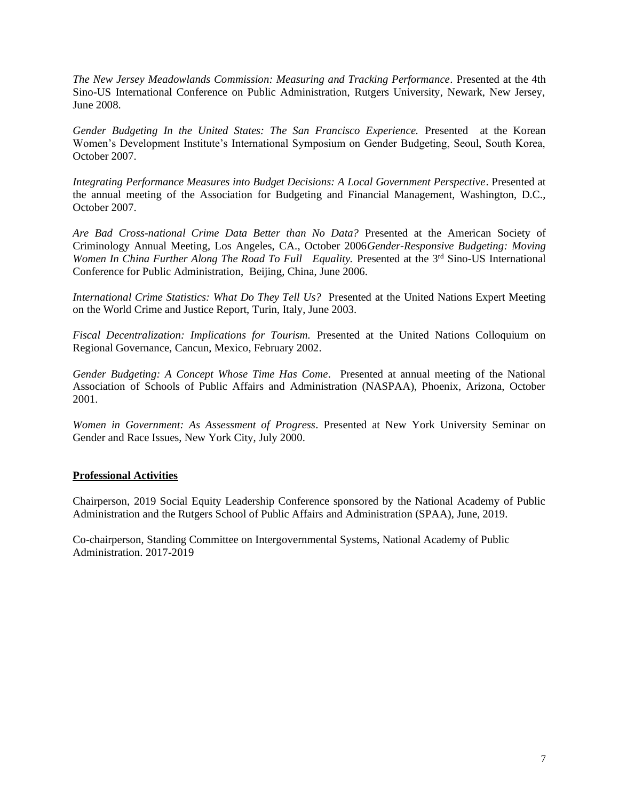*The New Jersey Meadowlands Commission: Measuring and Tracking Performance*. Presented at the 4th Sino-US International Conference on Public Administration, Rutgers University, Newark, New Jersey, June 2008.

*Gender Budgeting In the United States: The San Francisco Experience.* Presented at the Korean Women's Development Institute's International Symposium on Gender Budgeting, Seoul, South Korea, October 2007.

*Integrating Performance Measures into Budget Decisions: A Local Government Perspective*. Presented at the annual meeting of the Association for Budgeting and Financial Management, Washington, D.C., October 2007.

*Are Bad Cross-national Crime Data Better than No Data?* Presented at the American Society of Criminology Annual Meeting, Los Angeles, CA., October 2006*Gender-Responsive Budgeting: Moving*  Women In China Further Along The Road To Full Equality. Presented at the 3<sup>rd</sup> Sino-US International Conference for Public Administration, Beijing, China, June 2006.

*International Crime Statistics: What Do They Tell Us?* Presented at the United Nations Expert Meeting on the World Crime and Justice Report, Turin, Italy, June 2003.

*Fiscal Decentralization: Implications for Tourism.* Presented at the United Nations Colloquium on Regional Governance, Cancun, Mexico, February 2002.

*Gender Budgeting: A Concept Whose Time Has Come*. Presented at annual meeting of the National Association of Schools of Public Affairs and Administration (NASPAA), Phoenix, Arizona, October 2001.

*Women in Government: As Assessment of Progress*. Presented at New York University Seminar on Gender and Race Issues, New York City, July 2000.

## **Professional Activities**

Chairperson, 2019 Social Equity Leadership Conference sponsored by the National Academy of Public Administration and the Rutgers School of Public Affairs and Administration (SPAA), June, 2019.

Co-chairperson, Standing Committee on Intergovernmental Systems, National Academy of Public Administration. 2017-2019